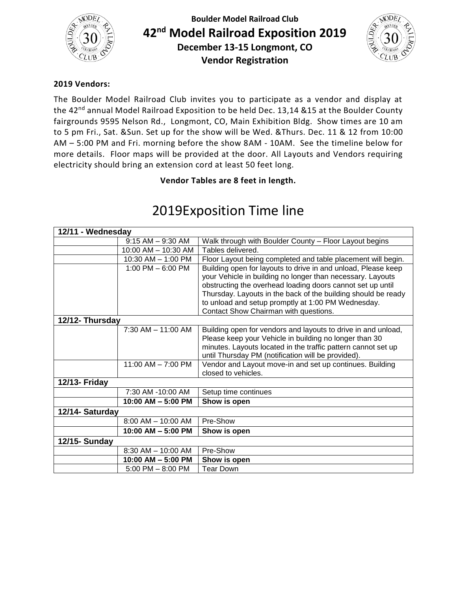



#### **2019 Vendors:**

The Boulder Model Railroad Club invites you to participate as a vendor and display at the 42<sup>nd</sup> annual Model Railroad Exposition to be held Dec. 13,14 &15 at the Boulder County fairgrounds 9595 Nelson Rd., Longmont, CO, Main Exhibition Bldg. Show times are 10 am to 5 pm Fri., Sat. &Sun. Set up for the show will be Wed. &Thurs. Dec. 11 & 12 from 10:00 AM – 5:00 PM and Fri. morning before the show 8AM - 10AM. See the timeline below for more details. Floor maps will be provided at the door. All Layouts and Vendors requiring electricity should bring an extension cord at least 50 feet long.

**Vendor Tables are 8 feet in length.**

# 2019Exposition Time line

| 12/11 - Wednesday |                        |                                                               |  |
|-------------------|------------------------|---------------------------------------------------------------|--|
|                   | $9:15$ AM $-$ 9:30 AM  | Walk through with Boulder County - Floor Layout begins        |  |
|                   | 10:00 AM - 10:30 AM    | Tables delivered.                                             |  |
|                   | $10:30$ AM $- 1:00$ PM | Floor Layout being completed and table placement will begin.  |  |
|                   | $1:00$ PM $-6:00$ PM   | Building open for layouts to drive in and unload, Please keep |  |
|                   |                        | your Vehicle in building no longer than necessary. Layouts    |  |
|                   |                        | obstructing the overhead loading doors cannot set up until    |  |
|                   |                        | Thursday. Layouts in the back of the building should be ready |  |
|                   |                        | to unload and setup promptly at 1:00 PM Wednesday.            |  |
|                   |                        | Contact Show Chairman with questions.                         |  |
| 12/12- Thursday   |                        |                                                               |  |
|                   | $7:30$ AM $-$ 11:00 AM | Building open for vendors and layouts to drive in and unload, |  |
|                   |                        | Please keep your Vehicle in building no longer than 30        |  |
|                   |                        | minutes. Layouts located in the traffic pattern cannot set up |  |
|                   |                        | until Thursday PM (notification will be provided).            |  |
|                   | $11:00$ AM $-$ 7:00 PM | Vendor and Layout move-in and set up continues. Building      |  |
|                   |                        | closed to vehicles.                                           |  |
| 12/13- Friday     |                        |                                                               |  |
|                   | 7:30 AM -10:00 AM      | Setup time continues                                          |  |
|                   | $10:00$ AM $- 5:00$ PM | Show is open                                                  |  |
| 12/14- Saturday   |                        |                                                               |  |
|                   | $8:00$ AM $-$ 10:00 AM | Pre-Show                                                      |  |
|                   | 10:00 AM $-$ 5:00 PM   | Show is open                                                  |  |
| 12/15- Sunday     |                        |                                                               |  |
|                   | $8:30$ AM $-$ 10:00 AM | Pre-Show                                                      |  |
|                   | $10:00$ AM $-$ 5:00 PM | Show is open                                                  |  |
|                   | $5:00$ PM $- 8:00$ PM  | <b>Tear Down</b>                                              |  |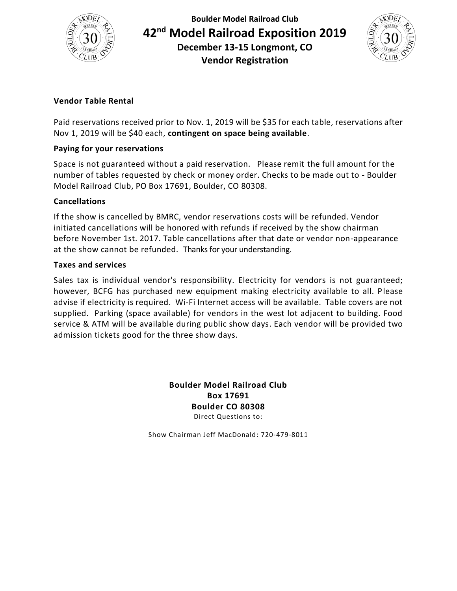



### **Vendor Table Rental**

Paid reservations received prior to Nov. 1, 2019 will be \$35 for each table, reservations after Nov 1, 2019 will be \$40 each, **contingent on space being available**.

#### **Paying for your reservations**

Space is not guaranteed without a paid reservation. Please remit the full amount for the number of tables requested by check or money order. Checks to be made out to - Boulder Model Railroad Club, PO Box 17691, Boulder, CO 80308.

#### **Cancellations**

If the show is cancelled by BMRC, vendor reservations costs will be refunded. Vendor initiated cancellations will be honored with refunds if received by the show chairman before November 1st. 2017. Table cancellations after that date or vendor non-appearance at the show cannot be refunded. Thanks for your understanding.

#### **Taxes and services**

Sales tax is individual vendor's responsibility. Electricity for vendors is not guaranteed; however, BCFG has purchased new equipment making electricity available to all. Please advise if electricity is required. Wi-Fi Internet access will be available. Table covers are not supplied. Parking (space available) for vendors in the west lot adjacent to building. Food service & ATM will be available during public show days. Each vendor will be provided two admission tickets good for the three show days.

> **Boulder Model Railroad Club Box 17691 Boulder CO 80308** Direct Questions to:

Show Chairman Jeff MacDonald: 720-479-8011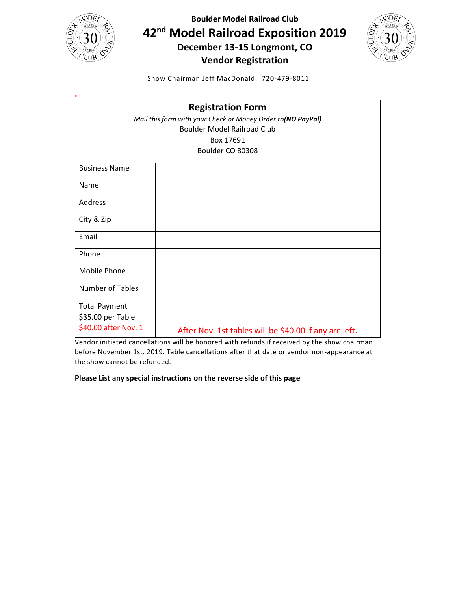



Show Chairman Jeff MacDonald: 720-479-8011

|                         | <b>Registration Form</b>                                    |
|-------------------------|-------------------------------------------------------------|
|                         | Mail this form with your Check or Money Order to(NO PayPal) |
|                         | <b>Boulder Model Railroad Club</b>                          |
|                         | Box 17691                                                   |
|                         | Boulder CO 80308                                            |
| <b>Business Name</b>    |                                                             |
| Name                    |                                                             |
| Address                 |                                                             |
| City & Zip              |                                                             |
| Email                   |                                                             |
| Phone                   |                                                             |
| Mobile Phone            |                                                             |
| <b>Number of Tables</b> |                                                             |
| <b>Total Payment</b>    |                                                             |
| \$35.00 per Table       |                                                             |
| \$40.00 after Nov. 1    | After Nov. 1st tables will be \$40.00 if any are left.      |

Vendor initiated cancellations will be honored with refunds if received by the show chairman before November 1st. 2019. Table cancellations after that date or vendor non-appearance at the show cannot be refunded.

**Please List any special instructions on the reverse side of this page**